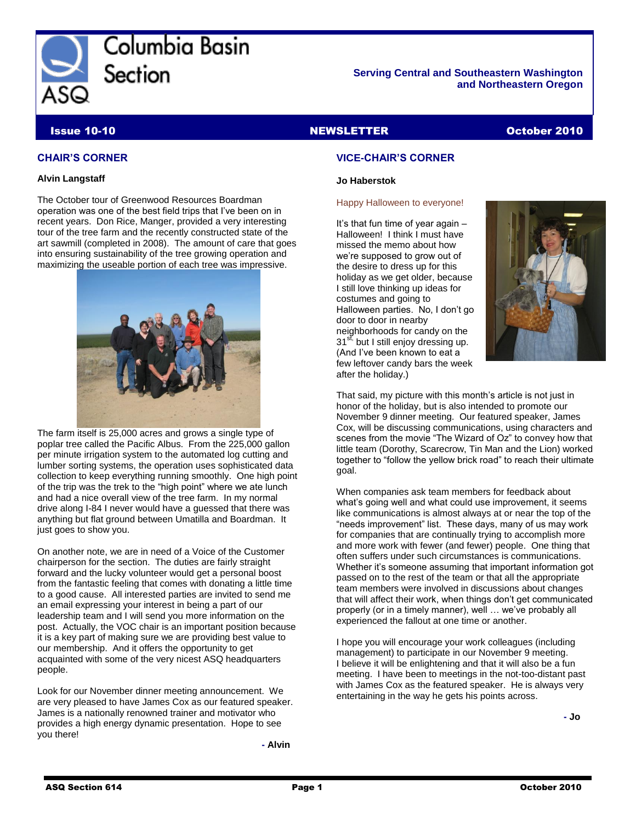

Columbia Basin Section

#### **Serving Central and Southeastern Washington and Northeastern Oregon**

### Issue 10-10 NEWSLETTER October 2010

#### **CHAIR'S CORNER**

#### **Alvin Langstaff**

The October tour of Greenwood Resources Boardman operation was one of the best field trips that I've been on in recent years. Don Rice, Manger, provided a very interesting tour of the tree farm and the recently constructed state of the art sawmill (completed in 2008). The amount of care that goes into ensuring sustainability of the tree growing operation and maximizing the useable portion of each tree was impressive.



The farm itself is 25,000 acres and grows a single type of poplar tree called the Pacific Albus. From the 225,000 gallon per minute irrigation system to the automated log cutting and lumber sorting systems, the operation uses sophisticated data collection to keep everything running smoothly. One high point of the trip was the trek to the "high point" where we ate lunch and had a nice overall view of the tree farm. In my normal drive along I-84 I never would have a guessed that there was anything but flat ground between Umatilla and Boardman. It just goes to show you.

On another note, we are in need of a Voice of the Customer chairperson for the section. The duties are fairly straight forward and the lucky volunteer would get a personal boost from the fantastic feeling that comes with donating a little time to a good cause. All interested parties are invited to send me an email expressing your interest in being a part of our leadership team and I will send you more information on the post. Actually, the VOC chair is an important position because it is a key part of making sure we are providing best value to our membership. And it offers the opportunity to get acquainted with some of the very nicest ASQ headquarters people.

Look for our November dinner meeting announcement. We are very pleased to have James Cox as our featured speaker. James is a nationally renowned trainer and motivator who provides a high energy dynamic presentation. Hope to see you there!

**- Alvin**

#### **VICE-CHAIR'S CORNER**

#### **Jo Haberstok**

#### Happy Halloween to everyone!

It's that fun time of year again – Halloween! I think I must have missed the memo about how we're supposed to grow out of the desire to dress up for this holiday as we get older, because I still love thinking up ideas for costumes and going to Halloween parties. No, I don't go door to door in nearby neighborhoods for candy on the 31<sup>st,</sup> but I still enjoy dressing up. (And I've been known to eat a few leftover candy bars the week after the holiday.)



That said, my picture with this month's article is not just in honor of the holiday, but is also intended to promote our November 9 dinner meeting. Our featured speaker, James Cox, will be discussing communications, using characters and scenes from the movie "The Wizard of Oz" to convey how that little team (Dorothy, Scarecrow, Tin Man and the Lion) worked together to "follow the yellow brick road" to reach their ultimate goal.

When companies ask team members for feedback about what's going well and what could use improvement, it seems like communications is almost always at or near the top of the "needs improvement" list. These days, many of us may work for companies that are continually trying to accomplish more and more work with fewer (and fewer) people. One thing that often suffers under such circumstances is communications. Whether it's someone assuming that important information got passed on to the rest of the team or that all the appropriate team members were involved in discussions about changes that will affect their work, when things don't get communicated properly (or in a timely manner), well … we've probably all experienced the fallout at one time or another.

I hope you will encourage your work colleagues (including management) to participate in our November 9 meeting. I believe it will be enlightening and that it will also be a fun meeting. I have been to meetings in the not-too-distant past with James Cox as the featured speaker. He is always very entertaining in the way he gets his points across.

 **- Jo**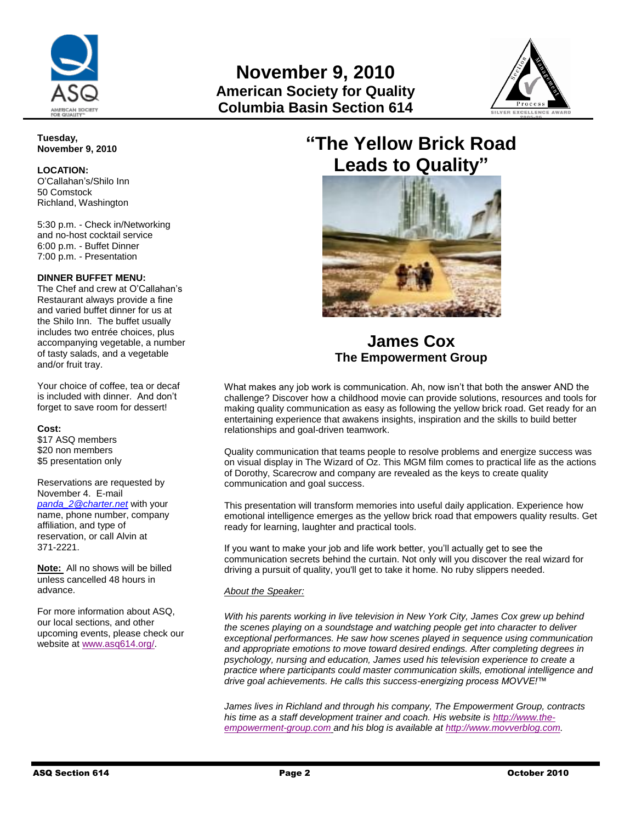



#### **Tuesday, November 9, 2010**

#### **LOCATION:**

O'Callahan's/Shilo Inn 50 Comstock Richland, Washington

5:30 p.m. - Check in/Networking and no-host cocktail service 6:00 p.m. - Buffet Dinner 7:00 p.m. - Presentation

#### **DINNER BUFFET MENU:**

The Chef and crew at O'Callahan's Restaurant always provide a fine and varied buffet dinner for us at the Shilo Inn. The buffet usually includes two entrée choices, plus accompanying vegetable, a number of tasty salads, and a vegetable and/or fruit tray.

Your choice of coffee, tea or decaf is included with dinner. And don't forget to save room for dessert!

#### **Cost:**

\$17 ASQ members \$20 non members \$5 presentation only

Reservations are requested by November 4. E-mail *[panda\\_2@charter.net](mailto:panda_2@charter.net)* with your name, phone number, company affiliation, and type of reservation, or call Alvin at 371-2221.

**Note:** All no shows will be billed unless cancelled 48 hours in advance.

For more information about ASQ, our local sections, and other upcoming events, please check our website at [www.asq614.org/.](http://www.asq614.org/)

# **"The Yellow Brick Road Leads to Quality"**



## **James Cox The Empowerment Group**

What makes any job work is communication. Ah, now isn't that both the answer AND the challenge? Discover how a childhood movie can provide solutions, resources and tools for making quality communication as easy as following the yellow brick road. Get ready for an entertaining experience that awakens insights, inspiration and the skills to build better relationships and goal-driven teamwork.

Quality communication that teams people to resolve problems and energize success was on visual display in The Wizard of Oz. This MGM film comes to practical life as the actions of Dorothy, Scarecrow and company are revealed as the keys to create quality communication and goal success.

This presentation will transform memories into useful daily application. Experience how emotional intelligence emerges as the yellow brick road that empowers quality results. Get ready for learning, laughter and practical tools.

If you want to make your job and life work better, you'll actually get to see the communication secrets behind the curtain. Not only will you discover the real wizard for driving a pursuit of quality, you'll get to take it home. No ruby slippers needed.

#### *About the Speaker:*

*With his parents working in live television in New York City, James Cox grew up behind the scenes playing on a soundstage and watching people get into character to deliver exceptional performances. He saw how scenes played in sequence using communication and appropriate emotions to move toward desired endings. After completing degrees in psychology, nursing and education, James used his television experience to create a practice where participants could master communication skills, emotional intelligence and drive goal achievements. He calls this success-energizing process MOVVE!™* 

*James lives in Richland and through his company, The Empowerment Group, contracts his time as a staff development trainer and coach. His website i[s http://www.the](http://www.the-empowerment-group.com/)[empowerment-group.com](http://www.the-empowerment-group.com/) and his blog is available at [http://www.movverblog.com](http://www.movverblog.com/).*